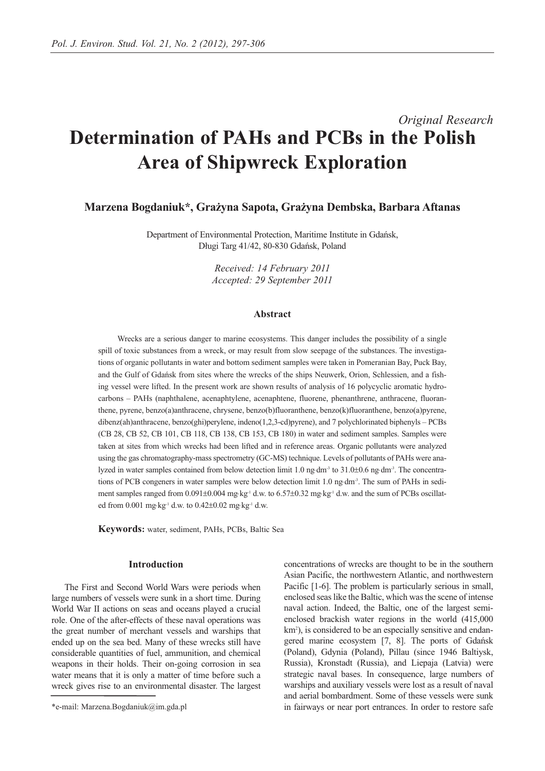# *Original Research* **Determination of PAHs and PCBs in the Polish Area of Shipwreck Exploration**

# **Marzena Bogdaniuk\*, Grażyna Sapota, Grażyna Dembska, Barbara Aftanas**

Department of Environmental Protection, Maritime Institute in Gdańsk, Długi Targ 41/42, 80-830 Gdańsk, Poland

> *Received: 14 February 2011 Accepted: 29 September 2011*

## **Abstract**

Wrecks are a serious danger to marine ecosystems. This danger includes the possibility of a single spill of toxic substances from a wreck, or may result from slow seepage of the substances. The investigations of organic pollutants in water and bottom sediment samples were taken in Pomeranian Bay, Puck Bay, and the Gulf of Gdańsk from sites where the wrecks of the ships Neuwerk, Orion, Schlessien, and a fishing vessel were lifted. In the present work are shown results of analysis of 16 polycyclic aromatic hydrocarbons – PAHs (naphthalene, acenaphtylene, acenaphtene, fluorene, phenanthrene, anthracene, fluoranthene, pyrene, benzo(a)anthracene, chrysene, benzo(b)fluoranthene, benzo(k)fluoranthene, benzo(a)pyrene, dibenz(ah)anthracene, benzo(ghi)perylene, indeno(1,2,3-cd)pyrene), and 7 polychlorinated biphenyls – PCBs (CB 28, CB 52, CB 101, CB 118, CB 138, CB 153, CB 180) in water and sediment samples. Samples were taken at sites from which wrecks had been lifted and in reference areas. Organic pollutants were analyzed using the gas chromatography-mass spectrometry (GC-MS) technique. Levels of pollutants of PAHs were analyzed in water samples contained from below detection limit 1.0 ng⋅dm<sup>-3</sup> to 31.0±0.6 ng⋅dm<sup>-3</sup>. The concentrations of PCB congeners in water samples were below detection limit 1.0 ng⋅dm<sup>-3</sup>. The sum of PAHs in sediment samples ranged from  $0.091\pm0.004$  mg⋅kg<sup>-1</sup> d.w. to  $6.57\pm0.32$  mg⋅kg<sup>-1</sup> d.w. and the sum of PCBs oscillated from 0.001 mg⋅kg-1 d.w. to 0.42±0.02 mg⋅kg-1 d.w.

**Keywords:** water, sediment, PAHs, PCBs, Baltic Sea

### **Introduction**

The First and Second World Wars were periods when large numbers of vessels were sunk in a short time. During World War II actions on seas and oceans played a crucial role. One of the after-effects of these naval operations was the great number of merchant vessels and warships that ended up on the sea bed. Many of these wrecks still have considerable quantities of fuel, ammunition, and chemical weapons in their holds. Their on-going corrosion in sea water means that it is only a matter of time before such a wreck gives rise to an environmental disaster. The largest concentrations of wrecks are thought to be in the southern Asian Pacific, the northwestern Atlantic, and northwestern Pacific [1-6]. The problem is particularly serious in small, enclosed seas like the Baltic, which was the scene of intense naval action. Indeed, the Baltic, one of the largest semienclosed brackish water regions in the world (415,000 km<sup>2</sup>), is considered to be an especially sensitive and endangered marine ecosystem [7, 8]. The ports of Gdańsk (Poland), Gdynia (Poland), Pillau (since 1946 Baltiysk, Russia), Kronstadt (Russia), and Liepaja (Latvia) were strategic naval bases. In consequence, large numbers of warships and auxiliary vessels were lost as a result of naval and aerial bombardment. Some of these vessels were sunk in fairways or near port entrances. In order to restore safe

<sup>\*</sup>e-mail: Marzena.Bogdaniuk@im.gda.pl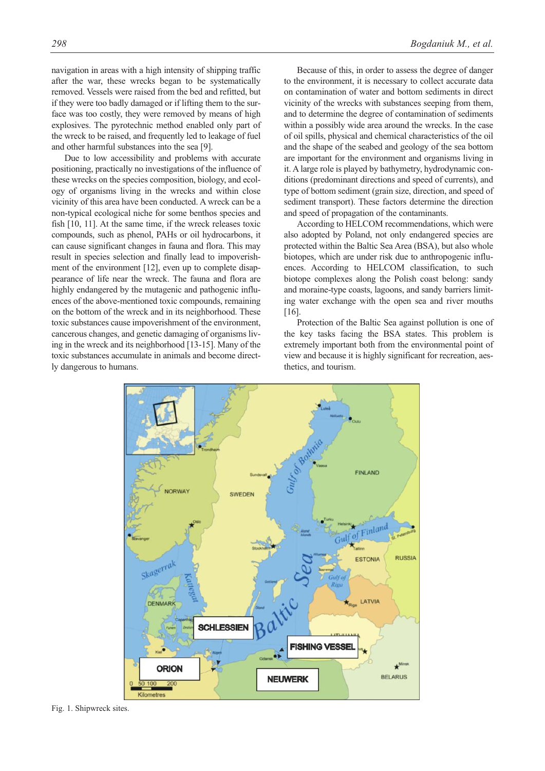navigation in areas with a high intensity of shipping traffic after the war, these wrecks began to be systematically removed. Vessels were raised from the bed and refitted, but if they were too badly damaged or if lifting them to the surface was too costly, they were removed by means of high explosives. The pyrotechnic method enabled only part of the wreck to be raised, and frequently led to leakage of fuel and other harmful substances into the sea [9].

Due to low accessibility and problems with accurate positioning, practically no investigations of the influence of these wrecks on the species composition, biology, and ecology of organisms living in the wrecks and within close vicinity of this area have been conducted. A wreck can be a non-typical ecological niche for some benthos species and fish [10, 11]. At the same time, if the wreck releases toxic compounds, such as phenol, PAHs or oil hydrocarbons, it can cause significant changes in fauna and flora. This may result in species selection and finally lead to impoverishment of the environment [12], even up to complete disappearance of life near the wreck. The fauna and flora are highly endangered by the mutagenic and pathogenic influences of the above-mentioned toxic compounds, remaining on the bottom of the wreck and in its neighborhood. These toxic substances cause impoverishment of the environment, cancerous changes, and genetic damaging of organisms living in the wreck and its neighborhood [13-15]. Many of the toxic substances accumulate in animals and become directly dangerous to humans.

Because of this, in order to assess the degree of danger to the environment, it is necessary to collect accurate data on contamination of water and bottom sediments in direct vicinity of the wrecks with substances seeping from them, and to determine the degree of contamination of sediments within a possibly wide area around the wrecks. In the case of oil spills, physical and chemical characteristics of the oil and the shape of the seabed and geology of the sea bottom are important for the environment and organisms living in it. A large role is played by bathymetry, hydrodynamic conditions (predominant directions and speed of currents), and type of bottom sediment (grain size, direction, and speed of sediment transport). These factors determine the direction and speed of propagation of the contaminants.

According to HELCOM recommendations, which were also adopted by Poland, not only endangered species are protected within the Baltic Sea Area (BSA), but also whole biotopes, which are under risk due to anthropogenic influences. According to HELCOM classification, to such biotope complexes along the Polish coast belong: sandy and moraine-type coasts, lagoons, and sandy barriers limiting water exchange with the open sea and river mouths [16].

Protection of the Baltic Sea against pollution is one of the key tasks facing the BSA states. This problem is extremely important both from the environmental point of view and because it is highly significant for recreation, aesthetics, and tourism.



Fig. 1. Shipwreck sites.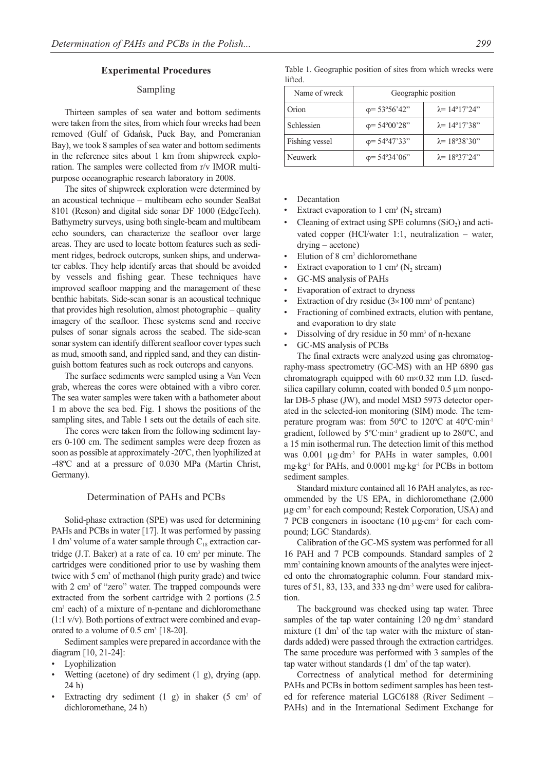#### **Experimental Procedures**

# Sampling

Thirteen samples of sea water and bottom sediments were taken from the sites, from which four wrecks had been removed (Gulf of Gdańsk, Puck Bay, and Pomeranian Bay), we took 8 samples of sea water and bottom sediments in the reference sites about 1 km from shipwreck exploration. The samples were collected from r/v IMOR multipurpose oceanographic research laboratory in 2008.

The sites of shipwreck exploration were determined by an acoustical technique – multibeam echo sounder SeaBat 8101 (Reson) and digital side sonar DF 1000 (EdgeTech). Bathymetry surveys, using both single-beam and multibeam echo sounders, can characterize the seafloor over large areas. They are used to locate bottom features such as sediment ridges, bedrock outcrops, sunken ships, and underwater cables. They help identify areas that should be avoided by vessels and fishing gear. These techniques have improved seafloor mapping and the management of these benthic habitats. Side-scan sonar is an acoustical technique that provides high resolution, almost photographic – quality imagery of the seafloor. These systems send and receive pulses of sonar signals across the seabed. The side-scan sonar system can identify different seafloor cover types such as mud, smooth sand, and rippled sand, and they can distinguish bottom features such as rock outcrops and canyons.

The surface sediments were sampled using a Van Veen grab, whereas the cores were obtained with a vibro corer. The sea water samples were taken with a bathometer about 1 m above the sea bed. Fig. 1 shows the positions of the sampling sites, and Table 1 sets out the details of each site.

The cores were taken from the following sediment layers 0-100 cm. The sediment samples were deep frozen as soon as possible at approximately -20ºC, then lyophilized at -48ºC and at a pressure of 0.030 MPa (Martin Christ, Germany).

## Determination of PAHs and PCBs

Solid-phase extraction (SPE) was used for determining PAHs and PCBs in water [17]. It was performed by passing 1 dm<sup>3</sup> volume of a water sample through  $C_{18}$  extraction cartridge (J.T. Baker) at a rate of ca. 10 cm<sup>3</sup> per minute. The cartridges were conditioned prior to use by washing them twice with 5 cm<sup>3</sup> of methanol (high purity grade) and twice with 2 cm<sup>3</sup> of "zero" water. The trapped compounds were extracted from the sorbent cartridge with 2 portions (2.5 cm3 each) of a mixture of n-pentane and dichloromethane (1:1 v/v). Both portions of extract were combined and evaporated to a volume of 0.5 cm<sup>3</sup> [18-20].

Sediment samples were prepared in accordance with the diagram [10, 21-24]:

- **Lyophilization**
- Wetting (acetone) of dry sediment  $(1 \text{ g})$ , drying (app. 24 h)
- Extracting dry sediment  $(1 \text{ g})$  in shaker  $(5 \text{ cm}^3 \text{ of})$ dichloromethane, 24 h)

|         | Table 1. Geographic position of sites from which wrecks were |  |  |  |  |
|---------|--------------------------------------------------------------|--|--|--|--|
| lifted. |                                                              |  |  |  |  |

| Name of wreck  | Geographic position           |                               |  |  |
|----------------|-------------------------------|-------------------------------|--|--|
| Orion          | $\varphi$ = 53°56'42"         | $\lambda = 14^{\circ}17'24''$ |  |  |
| Schlessien     | $\varphi = 54^{\circ}00'28"$  | $\lambda = 14^{\circ}17'38''$ |  |  |
| Fishing vessel | $\varphi = 54^{\circ}47'33"$  | $\lambda = 18^{\circ}38'30''$ |  |  |
| <b>Neuwerk</b> | $\varphi = 54^{\circ}34'06''$ | $\lambda = 18937'24''$        |  |  |

- **Decantation**
- Extract evaporation to 1 cm<sup>3</sup> ( $N_2$  stream)
- Cleaning of extract using SPE columns  $(SiO<sub>2</sub>)$  and activated copper (HCl/water 1:1, neutralization – water, drying – acetone)
- Elution of 8 cm<sup>3</sup> dichloromethane
- Extract evaporation to 1 cm<sup>3</sup> ( $N_2$  stream)
- GC-MS analysis of PAHs
- Evaporation of extract to dryness
- Extraction of dry residue  $(3 \times 100 \text{ mm}^3)$  of pentane)
- Fractioning of combined extracts, elution with pentane, and evaporation to dry state
- Dissolving of dry residue in 50 mm<sup>3</sup> of n-hexane
- GC-MS analysis of PCBs

The final extracts were analyzed using gas chromatography-mass spectrometry (GC-MS) with an HP 6890 gas chromatograph equipped with 60 m×0.32 mm I.D. fusedsilica capillary column, coated with bonded 0.5 μm nonpolar DB-5 phase (JW), and model MSD 5973 detector oper ated in the selected-ion monitoring (SIM) mode. The temperature program was: from 50ºC to 120ºC at 40ºC·min-1 gradient, followed by 5ºC·min-1 gradient up to 280ºC, and a 15 min isothermal run. The detection limit of this method was 0.001 μg⋅dm<sup>-3</sup> for PAHs in water samples, 0.001 mg⋅kg<sup>-1</sup> for PAHs, and 0.0001 mg⋅kg<sup>-1</sup> for PCBs in bottom sediment samples.

Standard mixture contained all 16 PAH analytes, as recommended by the US EPA, in dichloromethane (2,000 μg⋅cm-3 for each compound; Restek Corporation, USA) and 7 PCB congeners in isooctane (10  $\mu$ g⋅cm<sup>-3</sup> for each compound; LGC Standards).

Calibration of the GC-MS system was performed for all 16 PAH and 7 PCB compounds. Standard samples of 2 mm<sup>3</sup> containing known amounts of the analytes were injected onto the chromatographic column. Four standard mixtures of 51, 83, 133, and 333 ng⋅dm<sup>-3</sup> were used for calibration.

The background was checked using tap water. Three samples of the tap water containing 120 ng⋅dm<sup>-3</sup> standard mixture  $(1 \text{ dm}^3)$  of the tap water with the mixture of standards added) were passed through the extraction cartridges. The same procedure was performed with 3 samples of the tap water without standards (1 dm<sup>3</sup> of the tap water).

Correctness of analytical method for determining PAHs and PCBs in bottom sediment samples has been tested for reference material LGC6188 (River Sediment – PAHs) and in the International Sediment Exchange for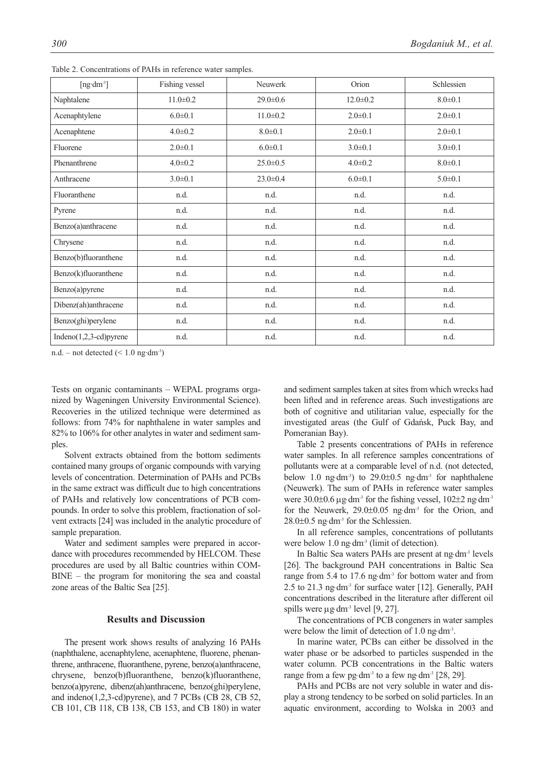| [ $ng \cdot dm^{-3}$ ]   | Fishing vessel | Neuwerk        | Orion          | Schlessien    |  |
|--------------------------|----------------|----------------|----------------|---------------|--|
| Naphtalene               | $11.0 \pm 0.2$ | $29.0 \pm 0.6$ | $12.0 \pm 0.2$ | $8.0 \pm 0.1$ |  |
| Acenaphtylene            | $6.0 \pm 0.1$  | $11.0 \pm 0.2$ | $2.0 \pm 0.1$  | $2.0 \pm 0.1$ |  |
| Acenaphtene              | $4.0 \pm 0.2$  | $8.0 \pm 0.1$  | $2.0 \pm 0.1$  | $2.0 \pm 0.1$ |  |
| Fluorene                 | $2.0 \pm 0.1$  | $6.0 \pm 0.1$  | $3.0 \pm 0.1$  | $3.0 \pm 0.1$ |  |
| Phenanthrene             | $4.0 \pm 0.2$  | $25.0 \pm 0.5$ | $4.0 \pm 0.2$  | $8.0 \pm 0.1$ |  |
| Anthracene               | $3.0 \pm 0.1$  | $23.0 \pm 0.4$ | $6.0 \pm 0.1$  | $5.0 \pm 0.1$ |  |
| Fluoranthene             | n.d.           | n.d.           | n.d.           | n.d.          |  |
| Pyrene                   | n.d.           | n.d.           | n.d.           | n.d.          |  |
| Benzo(a)anthracene       | n.d.           | n.d.           | n.d.           | n.d.          |  |
| Chrysene                 | n.d.           | n.d.           | n.d.           | n.d.          |  |
| Benzo(b)fluoranthene     | n.d.           | n.d.           | n.d.           | n.d.          |  |
| Benzo(k)fluoranthene     | n.d.           | n.d.           | n.d.           | n.d.          |  |
| Benzo(a)pyrene           | n.d.           | n.d.           | n.d.           | n.d.          |  |
| Dibenz(ah)anthracene     | n.d.           | n.d.           | n.d.           | n.d.          |  |
| Benzo(ghi)perylene       | n.d.           | n.d.           | n.d.           | n.d.          |  |
| $Indeno(1,2,3-cd)pyrene$ | n.d.           | n.d.           | n.d.           | n.d.          |  |

Table 2. Concentrations of PAHs in reference water samples.

n.d. – not detected  $(< 1.0$  ng·dm<sup>-3</sup>)

Tests on organic contaminants – WEPAL programs organized by Wageningen University Environmental Science). Recoveries in the utilized technique were determined as follows: from 74% for naphthalene in water samples and 82% to 106% for other analytes in water and sediment samples.

Solvent extracts obtained from the bottom sediments contained many groups of organic compounds with varying levels of concentration. Determination of PAHs and PCBs in the same extract was difficult due to high concentrations of PAHs and relatively low concentrations of PCB compounds. In order to solve this problem, fractionation of solvent extracts [24] was included in the analytic procedure of sample preparation.

Water and sediment samples were prepared in accordance with procedures recommended by HELCOM. These procedures are used by all Baltic countries within COM-BINE – the program for monitoring the sea and coastal zone areas of the Baltic Sea [25].

## **Results and Discussion**

The present work shows results of analyzing 16 PAHs (naphthalene, acenaphtylene, acenaphtene, fluorene, phenanthrene, anthracene, fluoranthene, pyrene, benzo(a)anthracene, chrysene, benzo(b)fluoranthene, benzo(k)fluoranthene, benzo(a)pyrene, dibenz(ah)anthracene, benzo(ghi)perylene, and indeno(1,2,3-cd)pyrene), and 7 PCBs (CB 28, CB 52, CB 101, CB 118, CB 138, CB 153, and CB 180) in water and sediment samples taken at sites from which wrecks had been lifted and in reference areas. Such investigations are both of cognitive and utilitarian value, especially for the investigated areas (the Gulf of Gdańsk, Puck Bay, and Pomeranian Bay).

Table 2 presents concentrations of PAHs in reference water samples. In all reference samples concentrations of pollutants were at a comparable level of n.d. (not detected, below 1.0 ng⋅dm<sup>-3</sup>) to 29.0±0.5 ng⋅dm<sup>-3</sup> for naphthalene (Neuwerk). The sum of PAHs in reference water samples were  $30.0\pm0.6$   $\mu$ g⋅dm<sup>-3</sup> for the fishing vessel,  $102\pm2$  ng⋅dm<sup>-3</sup> for the Neuwerk,  $29.0\pm0.05$  ng⋅dm<sup>-3</sup> for the Orion, and 28.0±0.5 ng⋅dm-3 for the Schlessien.

In all reference samples, concentrations of pollutants were below 1.0 ng⋅dm<sup>-3</sup> (limit of detection).

In Baltic Sea waters PAHs are present at ng⋅dm-3 levels [26]. The background PAH concentrations in Baltic Sea range from 5.4 to 17.6 ng⋅dm<sup>-3</sup> for bottom water and from 2.5 to 21.3 ng⋅dm-3 for surface water [12]. Generally, PAH concentrations described in the literature after different oil spills were  $\mu$ g⋅dm<sup>-3</sup> level [9, 27].

The concentrations of PCB congeners in water samples were below the limit of detection of 1.0 ng $dm^{-3}$ .

In marine water, PCBs can either be dissolved in the water phase or be adsorbed to particles suspended in the water column. PCB concentrations in the Baltic waters range from a few pg⋅dm<sup>-3</sup> to a few ng⋅dm<sup>-3</sup> [28, 29].

PAHs and PCBs are not very soluble in water and display a strong tendency to be sorbed on solid particles. In an aquatic environment, according to Wolska in 2003 and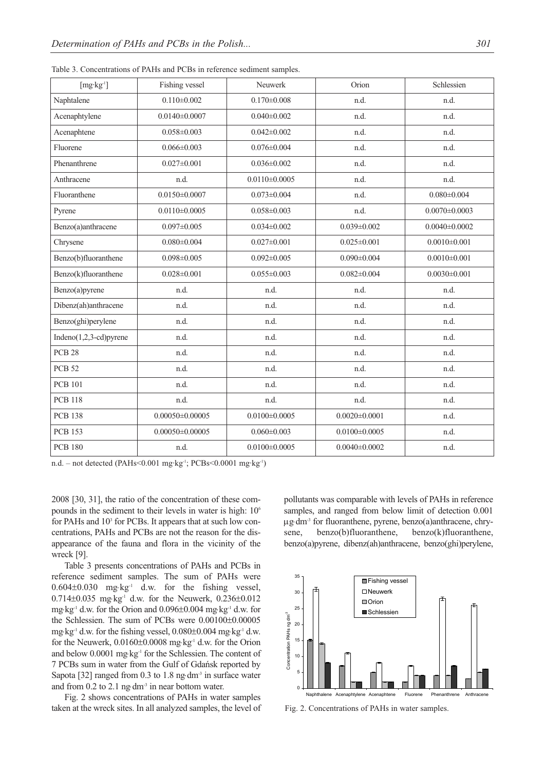| $[mg \cdot kg^{-1}]$       | Fishing vessel      | Neuwerk             | Orion               | Schlessien          |  |
|----------------------------|---------------------|---------------------|---------------------|---------------------|--|
| Naphtalene                 | $0.110 \pm 0.002$   | $0.170 \pm 0.008$   | n.d.                | n.d.                |  |
| Acenaphtylene              | $0.0140\pm0.0007$   | $0.040 \pm 0.002$   | n.d.                | n.d.                |  |
| Acenaphtene                | $0.058 \pm 0.003$   | $0.042 \pm 0.002$   | n.d.                | n.d.                |  |
| Fluorene                   | $0.066 \pm 0.003$   | $0.076 \pm 0.004$   | n.d.                | n.d.                |  |
| Phenanthrene               | $0.027 \pm 0.001$   | $0.036 \pm 0.002$   | n.d.                | n.d.                |  |
| Anthracene                 | n.d.                | $0.0110\pm0.0005$   | n.d.                | n.d.                |  |
| Fluoranthene               | $0.0150\pm0.0007$   | $0.073 \pm 0.004$   | n.d.                | $0.080 \pm 0.004$   |  |
| Pyrene                     | $0.0110\pm0.0005$   | $0.058 \pm 0.003$   | n.d.                | $0.0070 \pm 0.0003$ |  |
| Benzo(a)anthracene         | $0.097 \pm 0.005$   | $0.034 \pm 0.002$   | $0.039 \pm 0.002$   | $0.0040\pm0.0002$   |  |
| Chrysene                   | $0.080 \pm 0.004$   | $0.027 \pm 0.001$   | $0.025 \pm 0.001$   | $0.0010 \pm 0.001$  |  |
| Benzo(b)fluoranthene       | $0.098 \pm 0.005$   | $0.092 \pm 0.005$   | $0.090 \pm 0.004$   | $0.0010 \pm 0.001$  |  |
| Benzo(k)fluoranthene       | $0.028 \pm 0.001$   | $0.055 \pm 0.003$   | $0.082 \pm 0.004$   | $0.0030 \pm 0.001$  |  |
| Benzo(a)pyrene             | n.d.                | n.d.                | n.d.                | n.d.                |  |
| Dibenz(ah)anthracene       | n.d.                | n.d.                | n.d.                | n.d.                |  |
| Benzo(ghi)perylene         | n.d.                | n.d.                | n.d.                | n.d.                |  |
| Indeno $(1,2,3$ -cd)pyrene | n.d.                | n.d.                | n.d.                | n.d.                |  |
| <b>PCB 28</b>              | n.d.                | n.d.                | n.d.                | n.d.                |  |
| <b>PCB 52</b>              | n.d.                | n.d.                | n.d.                | n.d.                |  |
| <b>PCB 101</b>             | n.d.                | n.d.                | n.d.                | n.d.                |  |
| <b>PCB 118</b>             | n.d.                | n.d.                | n.d.                | n.d.                |  |
| <b>PCB 138</b>             | $0.00050\pm0.00005$ | $0.0100 \pm 0.0005$ | $0.0020 \pm 0.0001$ | n.d.                |  |
| <b>PCB 153</b>             | $0.00050\pm0.00005$ | $0.060 \pm 0.003$   | $0.0100 \pm 0.0005$ | n.d.                |  |
| <b>PCB 180</b>             | n.d.                | $0.0100 \pm 0.0005$ | $0.0040\pm0.0002$   | n.d.                |  |

Table 3. Concentrations of PAHs and PCBs in reference sediment samples.

n.d. – not detected (PAHs<0.001 mg·kg-1; PCBs<0.0001 mg·kg-1)

2008 [30, 31], the ratio of the concentration of these compounds in the sediment to their levels in water is high: 106 for PAHs and 10<sup>3</sup> for PCBs. It appears that at such low concentrations, PAHs and PCBs are not the reason for the disappearance of the fauna and flora in the vicinity of the wreck [9].

Table 3 presents concentrations of PAHs and PCBs in reference sediment samples. The sum of PAHs were  $0.604\pm0.030$  mg⋅kg<sup>-1</sup> d.w. for the fishing vessel, 0.714 $\pm$ 0.035 mg⋅kg<sup>-1</sup> d.w. for the Neuwerk, 0.236 $\pm$ 0.012 mg⋅kg-1 d.w. for the Orion and 0.096±0.004 mg⋅kg-1 d.w. for the Schlessien. The sum of PCBs were 0.00100±0.00005 mg⋅kg-1 d.w. for the fishing vessel, 0.080±0.004 mg⋅kg-1 d.w. for the Neuwerk, 0.0160±0.0008 mg⋅kg-1 d.w. for the Orion and below 0.0001 mg⋅kg<sup>-1</sup> for the Schlessien. The content of 7 PCBs sum in water from the Gulf of Gdańsk reported by Sapota [32] ranged from 0.3 to 1.8 ng⋅dm<sup>-3</sup> in surface water and from  $0.2$  to  $2.1$  ng⋅dm<sup>-3</sup> in near bottom water.

Fig. 2 shows concentrations of PAHs in water samples taken at the wreck sites. In all analyzed samples, the level of pollutants was comparable with levels of PAHs in reference samples, and ranged from below limit of detection 0.001 μg⋅dm-3 for fluoranthene, pyrene, benzo(a)anthracene, chrysene, benzo(b)fluoranthene, benzo(k)fluoranthene, benzo(a)pyrene, dibenz(ah)anthracene, benzo(ghi)perylene,



Fig. 2. Concentrations of PAHs in water samples.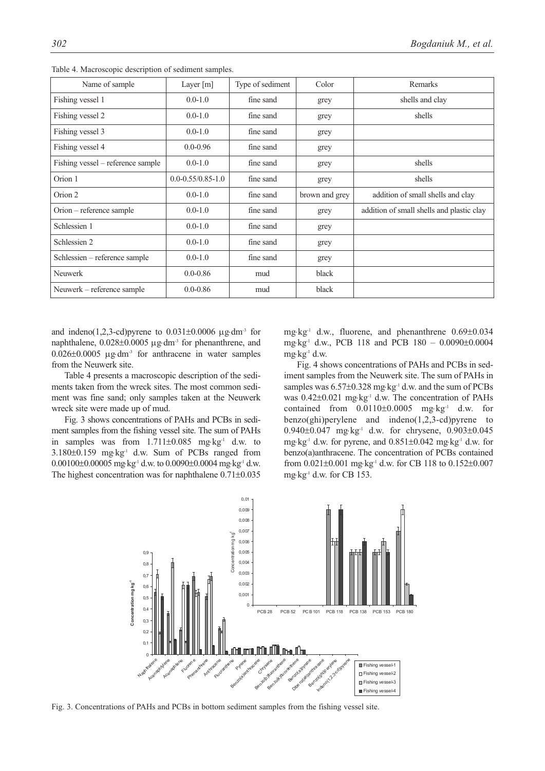| Name of sample                    | Layer [m]               | Type of sediment | Color          | Remarks                                   |
|-----------------------------------|-------------------------|------------------|----------------|-------------------------------------------|
| Fishing vessel 1                  | $0.0 - 1.0$             | fine sand        | grey           | shells and clay                           |
| Fishing vessel 2                  | $0.0 - 1.0$             | fine sand        | grey           | shells                                    |
| Fishing vessel 3                  | $0.0 - 1.0$             | fine sand        | grey           |                                           |
| Fishing vessel 4                  | $0.0 - 0.96$            | fine sand        | grey           |                                           |
| Fishing vessel – reference sample | $0.0 - 1.0$             | fine sand        | grey           | shells                                    |
| Orion 1                           | $0.0 - 0.55/0.85 - 1.0$ | fine sand        | grey           | shells                                    |
| Orion 2                           | $0.0 - 1.0$             | fine sand        | brown and grey | addition of small shells and clay         |
| $Oron$ – reference sample         | $0.0 - 1.0$             | fine sand        | grey           | addition of small shells and plastic clay |
| Schlessien 1                      | $0.0 - 1.0$             | fine sand        | grey           |                                           |
| Schlessien 2                      | $0.0 - 1.0$             | fine sand        | grey           |                                           |
| Schlessien – reference sample     | $0.0 - 1.0$             | fine sand        | grey           |                                           |
| <b>Neuwerk</b>                    | $0.0 - 0.86$            | mud              | black          |                                           |
| Neuwerk - reference sample        | $0.0 - 0.86$            | mud              | black          |                                           |

Table 4. Macroscopic description of sediment samples.

and indeno(1,2,3-cd)pyrene to  $0.031\pm0.0006$  µg⋅dm<sup>-3</sup> for naphthalene,  $0.028\pm0.0005$   $\mu$ g⋅dm<sup>-3</sup> for phenanthrene, and  $0.026\pm0.0005$  µg⋅dm<sup>-3</sup> for anthracene in water samples from the Neuwerk site.

Table 4 presents a macroscopic description of the sediments taken from the wreck sites. The most common sediment was fine sand; only samples taken at the Neuwerk wreck site were made up of mud.

Fig. 3 shows concentrations of PAHs and PCBs in sediment samples from the fishing vessel site. The sum of PAHs in samples was from 1.711±0.085 mg⋅kg-1 d.w. to 3.180±0.159 mg⋅kg<sup>-1</sup> d.w. Sum of PCBs ranged from 0.00100±0.00005 mg⋅kg-1 d.w. to 0.0090±0.0004 mg⋅kg-1 d.w. The highest concentration was for naphthalene 0.71±0.035 mg⋅kg-1 d.w., fluorene, and phenanthrene 0.69±0.034 mg⋅kg-1 d.w., PCB 118 and PCB 180 – 0.0090±0.0004 mg⋅kg-1 d.w.

Fig. 4 shows concentrations of PAHs and PCBs in sediment samples from the Neuwerk site. The sum of PAHs in samples was 6.57±0.328 mg⋅kg<sup>-1</sup> d.w. and the sum of PCBs was  $0.42\pm0.021$  mg⋅kg<sup>-1</sup> d.w. The concentration of PAHs contained from  $0.0110\pm0.0005$  mg⋅kg<sup>-1</sup> d.w. for benzo(ghi)perylene and indeno(1,2,3-cd)pyrene to 0.940±0.047 mg⋅kg-1 d.w. for chrysene, 0.903±0.045 mg⋅kg-1 d.w. for pyrene, and 0.851±0.042 mg⋅kg-1 d.w. for benzo(a)anthracene. The concentration of PCBs contained from 0.021±0.001 mg⋅kg-1 d.w. for CB 118 to 0.152±0.007 mg⋅kg-1 d.w. for CB 153.



Fig. 3. Concentrations of PAHs and PCBs in bottom sediment samples from the fishing vessel site.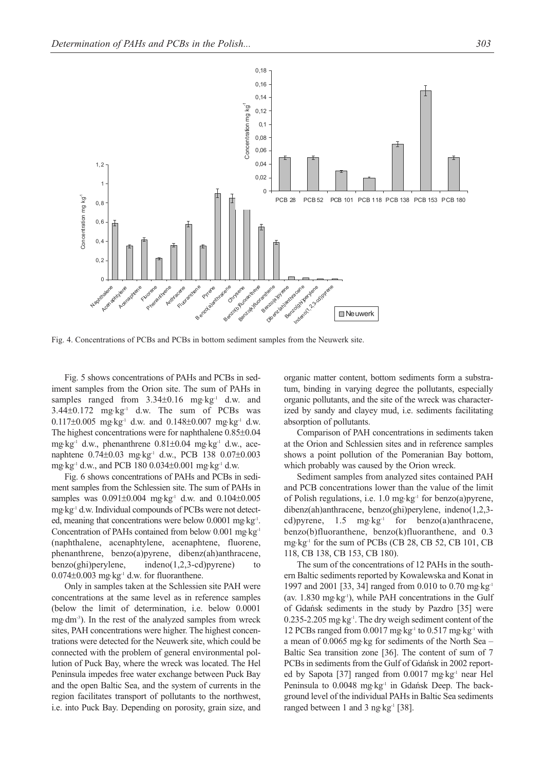

Fig. 4. Concentrations of PCBs and PCBs in bottom sediment samples from the Neuwerk site.

Fig. 5 shows concentrations of PAHs and PCBs in sediment samples from the Orion site. The sum of PAHs in samples ranged from  $3.34\pm0.16$  mg⋅kg<sup>-1</sup> d.w. and  $3.44\pm0.172$  mg⋅kg<sup>-1</sup> d.w. The sum of PCBs was 0.117±0.005 mg⋅kg-1 d.w. and 0.148±0.007 mg⋅kg-1 d.w. The highest concentrations were for naphthalene 0.85±0.04 mg⋅kg-1 d.w., phenanthrene 0.81±0.04 mg⋅kg-1 d.w., acenaphtene 0.74±0.03 mg⋅kg<sup>-1</sup> d.w., PCB 138 0.07±0.003 mg⋅kg-1 d.w., and PCB 180 0.034±0.001 mg⋅kg-1 d.w.

Fig. 6 shows concentrations of PAHs and PCBs in sediment samples from the Schlessien site. The sum of PAHs in samples was 0.091±0.004 mg·kg<sup>-1</sup> d.w. and 0.104±0.005 mg⋅kg<sup>-1</sup> d.w. Individual compounds of PCBs were not detected, meaning that concentrations were below 0.0001 mg⋅kg<sup>-1</sup>. Concentration of PAHs contained from below 0.001 mg⋅kg-1 (naphthalene, acenaphtylene, acenaphtene, fluorene, phenanthrene, benzo(a)pyrene, dibenz(ah)anthracene, benzo(ghi)perylene, indeno(1,2,3-cd)pyrene) to  $0.074\pm0.003$  mg⋅kg<sup>-1</sup> d.w. for fluoranthene.

Only in samples taken at the Schlessien site PAH were concentrations at the same level as in reference samples (below the limit of determination, i.e. below 0.0001 mg⋅dm<sup>-3</sup>). In the rest of the analyzed samples from wreck sites, PAH concentrations were higher. The highest concentrations were detected for the Neuwerk site, which could be connected with the problem of general environmental pollution of Puck Bay, where the wreck was located. The Hel Peninsula impedes free water exchange between Puck Bay and the open Baltic Sea, and the system of currents in the region facilitates transport of pollutants to the northwest, i.e. into Puck Bay. Depending on porosity, grain size, and organic matter content, bottom sediments form a substratum, binding in varying degree the pollutants, especially organic pollutants, and the site of the wreck was characterized by sandy and clayey mud, i.e. sediments facilitating absorption of pollutants.

Comparison of PAH concentrations in sediments taken at the Orion and Schlessien sites and in reference samples shows a point pollution of the Pomeranian Bay bottom, which probably was caused by the Orion wreck.

Sediment samples from analyzed sites contained PAH and PCB concentrations lower than the value of the limit of Polish regulations, i.e. 1.0 mg⋅kg-1 for benzo(a)pyrene, dibenz(ah)anthracene, benzo(ghi)perylene, indeno(1,2,3 cd)pyrene,  $1.5 \text{ mg·kg}^{-1}$  for benzo(a)anthracene, benzo(b)fluoranthene, benzo(k)fluoranthene, and 0.3 mg⋅kg-1 for the sum of PCBs (CB 28, CB 52, CB 101, CB 118, CB 138, CB 153, CB 180).

The sum of the concentrations of 12 PAHs in the southern Baltic sediments reported by Kowalewska and Konat in 1997 and 2001 [33, 34] ranged from 0.010 to 0.70 mg⋅kg<sup>-1</sup> (av.  $1.830$  mg⋅kg<sup>-1</sup>), while PAH concentrations in the Gulf of Gdańsk sediments in the study by Pazdro [35] were 0.235-2.205 mg⋅kg-1. The dry weigh sediment content of the 12 PCBs ranged from  $0.0017$  mg⋅kg<sup>-1</sup> to  $0.517$  mg⋅kg<sup>-1</sup> with a mean of 0.0065 mg⋅kg for sediments of the North Sea – Baltic Sea transition zone [36]. The content of sum of 7 PCBs in sediments from the Gulf of Gdańsk in 2002 reported by Sapota [37] ranged from 0.0017 mg⋅kg<sup>-1</sup> near Hel Peninsula to 0.0048 mg⋅kg<sup>-1</sup> in Gdańsk Deep. The background level of the individual PAHs in Baltic Sea sediments ranged between 1 and 3 ng⋅kg<sup>-1</sup> [38].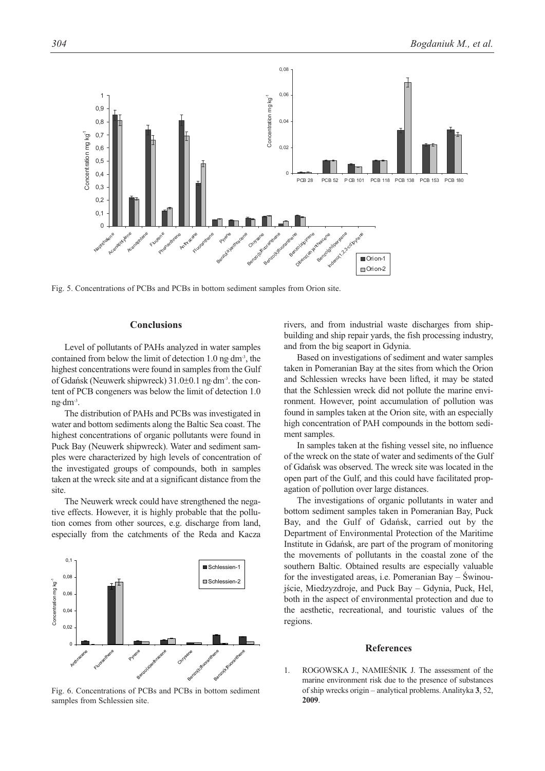

Fig. 5. Concentrations of PCBs and PCBs in bottom sediment samples from Orion site.

## **Conclusions**

Level of pollutants of PAHs analyzed in water samples contained from below the limit of detection 1.0 ng⋅dm-3, the highest concentrations were found in samples from the Gulf of Gdańsk (Neuwerk shipwreck) 31.0±0.1 ng⋅dm-3. the content of PCB congeners was below the limit of detection 1.0 ng⋅dm-3.

The distribution of PAHs and PCBs was investigated in water and bottom sediments along the Baltic Sea coast. The highest concentrations of organic pollutants were found in Puck Bay (Neuwerk shipwreck). Water and sediment samples were characterized by high levels of concentration of the investigated groups of compounds, both in samples taken at the wreck site and at a significant distance from the site.

The Neuwerk wreck could have strengthened the negative effects. However, it is highly probable that the pollution comes from other sources, e.g. discharge from land, especially from the catchments of the Reda and Kacza



Fig. 6. Concentrations of PCBs and PCBs in bottom sediment samples from Schlessien site.

rivers, and from industrial waste discharges from shipbuilding and ship repair yards, the fish processing industry, and from the big seaport in Gdynia.

Based on investigations of sediment and water samples taken in Pomeranian Bay at the sites from which the Orion and Schlessien wrecks have been lifted, it may be stated that the Schlessien wreck did not pollute the marine environment. However, point accumulation of pollution was found in samples taken at the Orion site, with an especially high concentration of PAH compounds in the bottom sediment samples.

In samples taken at the fishing vessel site, no influence of the wreck on the state of water and sediments of the Gulf of Gdańsk was observed. The wreck site was located in the open part of the Gulf, and this could have facilitated propagation of pollution over large distances.

The investigations of organic pollutants in water and bottom sediment samples taken in Pomeranian Bay, Puck Bay, and the Gulf of Gdańsk, carried out by the Department of Environmental Protection of the Maritime Institute in Gdańsk, are part of the program of monitoring the movements of pollutants in the coastal zone of the southern Baltic. Obtained results are especially valuable for the investigated areas, i.e. Pomeranian Bay – Świnoujście, Miedzyzdroje, and Puck Bay – Gdynia, Puck, Hel, both in the aspect of environmental protection and due to the aesthetic, recreational, and touristic values of the regions.

#### **References**

1. ROGOWSKA J., NAMIEŚNIK J. The assessment of the marine environment risk due to the presence of substances of ship wrecks origin – analytical problems. Analityka **3**, 52, **2009**.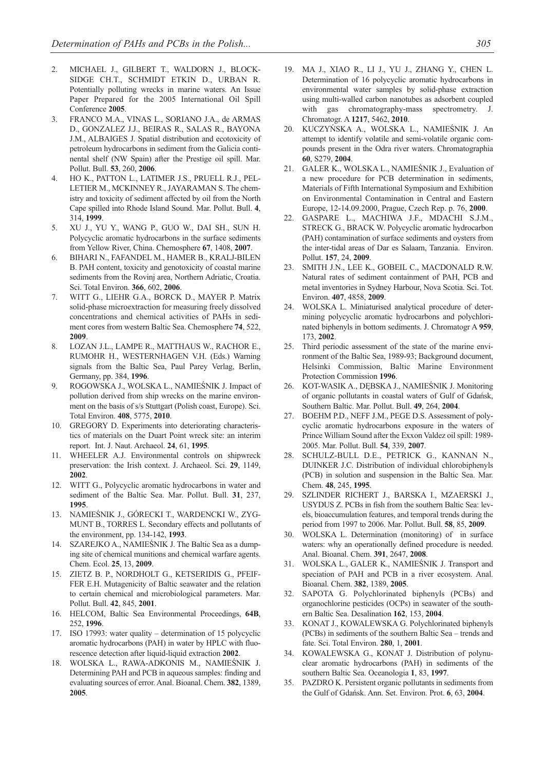- 2. MICHAEL J., GILBERT T., WALDORN J., BLOCK-SIDGE CH.T., SCHMIDT ETKIN D., URBAN R. Potentially polluting wrecks in marine waters. An Issue Paper Prepared for the 2005 International Oil Spill Conference **2005**.
- 3. FRANCO M.A., VINAS L., SORIANO J.A., de ARMAS D., GONZALEZ J.J., BEIRAS R., SALAS R., BAYONA J.M., ALBAIGES J. Spatial distribution and ecotoxicity of petroleum hydrocarbons in sediment from the Galicia continental shelf (NW Spain) after the Prestige oil spill. Mar. Pollut. Bull. **53**, 260, **2006**.
- 4. HO K., PATTON L., LATIMER J.S., PRUELL R.J., PEL-LETIER M., MCKINNEY R., JAYARAMAN S. The chemistry and toxicity of sediment affected by oil from the North Cape spilled into Rhode Island Sound. Mar. Pollut. Bull. **4**, 314, **1999**.
- 5. XU J., YU Y., WANG P., GUO W., DAI SH., SUN H. Polycyclic aromatic hydrocarbons in the surface sediments from Yellow River, China. Chemosphere **67**, 1408, **2007**.
- 6. BIHARI N., FAFANDEL M., HAMER B., KRALJ-BILEN B. PAH content, toxicity and genotoxicity of coastal marine sediments from the Rovinj area, Northern Adriatic, Croatia. Sci. Total Environ. **366**, 602, **2006**.
- 7. WITT G., LIEHR G.A., BORCK D., MAYER P. Matrix solid-phase microextraction for measuring freely dissolved concentrations and chemical activities of PAHs in sediment cores from western Baltic Sea. Chemosphere **74**, 522, **2009**.
- 8. LOZAN J.L., LAMPE R., MATTHAUS W., RACHOR E., RUMOHR H., WESTERNHAGEN V.H. (Eds.) Warning signals from the Baltic Sea, Paul Parey Verlag, Berlin, Germany, pp. 384, **1996**.
- 9. ROGOWSKA J., WOLSKA L., NAMIEŚNIK J. Impact of pollution derived from ship wrecks on the marine environment on the basis of s/s Stuttgart (Polish coast, Europe). Sci. Total Environ. **408**, 5775, **2010**.
- 10. GREGORY D. Experiments into deteriorating characteristics of materials on the Duart Point wreck site: an interim report. Int. J. Naut. Archaeol. **24**, 61, **1995**.
- 11. WHEELER A.J. Environmental controls on shipwreck preservation: the Irish context. J. Archaeol. Sci. **29**, 1149, **2002**.
- 12. WITT G., Polycyclic aromatic hydrocarbons in water and sediment of the Baltic Sea. Mar. Pollut. Bull. **31**, 237, **1995**.
- 13. NAMIEŚNIK J., GÓRECKI T., WARDENCKI W., ZYG-MUNT B., TORRES L. Secondary effects and pollutants of the environment, pp. 134-142, **1993**.
- 14. SZAREJKO A., NAMIEŚNIK J. The Baltic Sea as a dumping site of chemical munitions and chemical warfare agents. Chem. Ecol. **25**, 13, **2009**.
- 15. ZIETZ B. P., NORDHOLT G., KETSERIDIS G., PFEIF-FER E.H. Mutagenicity of Baltic seawater and the relation to certain chemical and microbiological parameters. Mar. Pollut. Bull. **42**, 845, **2001**.
- 16. HELCOM, Baltic Sea Environmental Proceedings, **64B**, 252, **1996**.
- 17. ISO 17993: water quality determination of 15 polycyclic aromatic hydrocarbons (PAH) in water by HPLC with fluorescence detection after liquid-liquid extraction **2002**.
- 18. WOLSKA L., RAWA-ADKONIS M., NAMIEŚNIK J. Determining PAH and PCB in aqueous samples: finding and evaluating sources of error. Anal. Bioanal. Chem. **382**, 1389, **2005**.
- 19. MA J., XIAO R., LI J., YU J., ZHANG Y., CHEN L. Determination of 16 polycyclic aromatic hydrocarbons in environmental water samples by solid-phase extraction using multi-walled carbon nanotubes as adsorbent coupled with gas chromatography-mass spectrometry. J. Chromatogr. A **1217**, 5462, **2010**.
- 20. KUCZYŃSKA A., WOLSKA L., NAMIEŚNIK J. An attempt to identify volatile and semi-volatile organic compounds present in the Odra river waters. Chromatographia **60**, S279, **2004**.
- 21. GALER K., WOLSKA L., NAMIEŚNIK J., Evaluation of a new procedure for PCB determination in sediments, Materials of Fifth International Symposium and Exhibition on Environmental Contamination in Central and Eastern Europe, 12-14.09.2000, Prague, Czech Rep. p. 76, **2000**.
- 22. GASPARE L., MACHIWA J.F., MDACHI S.J.M., STRECK G., BRACK W. Polycyclic aromatic hydrocarbon (PAH) contamination of surface sediments and oysters from the inter-tidal areas of Dar es Salaam, Tanzania. Environ. Pollut. **157**, 24, **2009**.
- 23. SMITH J.N., LEE K., GOBEIL C., MACDONALD R.W. Natural rates of sediment containment of PAH, PCB and metal inventories in Sydney Harbour, Nova Scotia. Sci. Tot. Environ. **407**, 4858, **2009**.
- 24. WOLSKA L. Miniaturised analytical procedure of determining polycyclic aromatic hydrocarbons and polychlorinated biphenyls in bottom sediments. J. Chromatogr A **959**, 173, **2002**.
- 25. Third periodic assessment of the state of the marine environment of the Baltic Sea, 1989-93; Background document, Helsinki Commission, Baltic Marine Environment Protection Commission **1996**.
- 26. KOT-WASIK A., DĘBSKA J., NAMIEŚNIK J. Monitoring of organic pollutants in coastal waters of Gulf of Gdańsk, Southern Baltic. Mar. Pollut. Bull. **49**, 264, **2004**.
- 27. BOEHM P.D., NEFF J.M., PEGE D.S. Assessment of polycyclic aromatic hydrocarbons exposure in the waters of Prince William Sound after the Exxon Valdez oil spill: 1989- 2005. Mar. Pollut. Bull. **54**, 339, **2007**.
- 28. SCHULZ-BULL D.E., PETRICK G., KANNAN N., DUINKER J.C. Distribution of individual chlorobiphenyls (PCB) in solution and suspension in the Baltic Sea. Mar. Chem. **48**, 245, **1995**.
- 29. SZLINDER RICHERT J., BARSKA I., MZAERSKI J., USYDUS Z. PCBs in fish from the southern Baltic Sea: levels, bioaccumulation features, and temporal trends during the period from 1997 to 2006. Mar. Pollut. Bull. **58**, 85, **2009**.
- 30. WOLSKA L. Determination (monitoring) of in surface waters: why an operationally defined procedure is needed. Anal. Bioanal. Chem. **391**, 2647, **2008**.
- 31. WOLSKA L., GALER K., NAMIEŚNIK J. Transport and speciation of PAH and PCB in a river ecosystem. Anal. Bioanal. Chem. **382**, 1389, **2005**.
- 32. SAPOTA G. Polychlorinated biphenyls (PCBs) and organochlorine pesticides (OCPs) in seawater of the southern Baltic Sea. Desalination **162**, 153, **2004**.
- 33. KONAT J., KOWALEWSKA G. Polychlorinated biphenyls (PCBs) in sediments of the southern Baltic Sea – trends and fate. Sci. Total Environ. **280**, 1, **2001**.
- 34. KOWALEWSKA G., KONAT J. Distribution of polynuclear aromatic hydrocarbons (PAH) in sediments of the southern Baltic Sea. Oceanologia **1**, 83, **1997**.
- 35. PAZDRO K. Persistent organic pollutants in sediments from the Gulf of Gdańsk. Ann. Set. Environ. Prot. **6**, 63, **2004**.